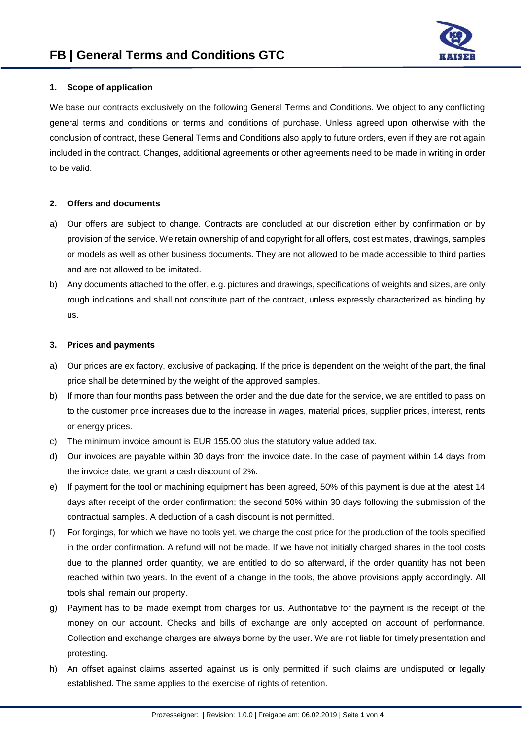

# **1. Scope of application**

We base our contracts exclusively on the following General Terms and Conditions. We object to any conflicting general terms and conditions or terms and conditions of purchase. Unless agreed upon otherwise with the conclusion of contract, these General Terms and Conditions also apply to future orders, even if they are not again included in the contract. Changes, additional agreements or other agreements need to be made in writing in order to be valid.

# **2. Offers and documents**

- a) Our offers are subject to change. Contracts are concluded at our discretion either by confirmation or by provision of the service. We retain ownership of and copyright for all offers, cost estimates, drawings, samples or models as well as other business documents. They are not allowed to be made accessible to third parties and are not allowed to be imitated.
- b) Any documents attached to the offer, e.g. pictures and drawings, specifications of weights and sizes, are only rough indications and shall not constitute part of the contract, unless expressly characterized as binding by us.

## **3. Prices and payments**

- a) Our prices are ex factory, exclusive of packaging. If the price is dependent on the weight of the part, the final price shall be determined by the weight of the approved samples.
- b) If more than four months pass between the order and the due date for the service, we are entitled to pass on to the customer price increases due to the increase in wages, material prices, supplier prices, interest, rents or energy prices.
- c) The minimum invoice amount is EUR 155.00 plus the statutory value added tax.
- d) Our invoices are payable within 30 days from the invoice date. In the case of payment within 14 days from the invoice date, we grant a cash discount of 2%.
- e) If payment for the tool or machining equipment has been agreed, 50% of this payment is due at the latest 14 days after receipt of the order confirmation; the second 50% within 30 days following the submission of the contractual samples. A deduction of a cash discount is not permitted.
- f) For forgings, for which we have no tools yet, we charge the cost price for the production of the tools specified in the order confirmation. A refund will not be made. If we have not initially charged shares in the tool costs due to the planned order quantity, we are entitled to do so afterward, if the order quantity has not been reached within two years. In the event of a change in the tools, the above provisions apply accordingly. All tools shall remain our property.
- g) Payment has to be made exempt from charges for us. Authoritative for the payment is the receipt of the money on our account. Checks and bills of exchange are only accepted on account of performance. Collection and exchange charges are always borne by the user. We are not liable for timely presentation and protesting.
- h) An offset against claims asserted against us is only permitted if such claims are undisputed or legally established. The same applies to the exercise of rights of retention.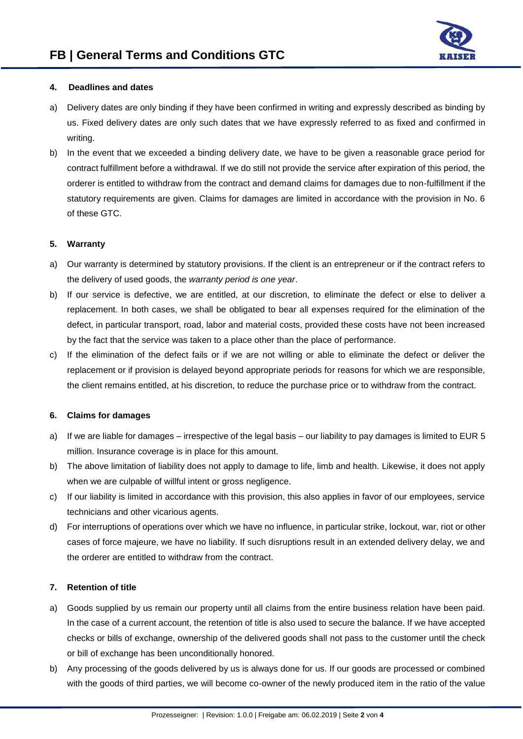

# **4. Deadlines and dates**

- a) Delivery dates are only binding if they have been confirmed in writing and expressly described as binding by us. Fixed delivery dates are only such dates that we have expressly referred to as fixed and confirmed in writing.
- b) In the event that we exceeded a binding delivery date, we have to be given a reasonable grace period for contract fulfillment before a withdrawal. If we do still not provide the service after expiration of this period, the orderer is entitled to withdraw from the contract and demand claims for damages due to non-fulfillment if the statutory requirements are given. Claims for damages are limited in accordance with the provision in No. 6 of these GTC.

## **5. Warranty**

- a) Our warranty is determined by statutory provisions. If the client is an entrepreneur or if the contract refers to the delivery of used goods, the *warranty period is one year*.
- b) If our service is defective, we are entitled, at our discretion, to eliminate the defect or else to deliver a replacement. In both cases, we shall be obligated to bear all expenses required for the elimination of the defect, in particular transport, road, labor and material costs, provided these costs have not been increased by the fact that the service was taken to a place other than the place of performance.
- c) If the elimination of the defect fails or if we are not willing or able to eliminate the defect or deliver the replacement or if provision is delayed beyond appropriate periods for reasons for which we are responsible, the client remains entitled, at his discretion, to reduce the purchase price or to withdraw from the contract.

## **6. Claims for damages**

- a) If we are liable for damages irrespective of the legal basis our liability to pay damages is limited to EUR 5 million. Insurance coverage is in place for this amount.
- b) The above limitation of liability does not apply to damage to life, limb and health. Likewise, it does not apply when we are culpable of willful intent or gross negligence.
- c) If our liability is limited in accordance with this provision, this also applies in favor of our employees, service technicians and other vicarious agents.
- d) For interruptions of operations over which we have no influence, in particular strike, lockout, war, riot or other cases of force majeure, we have no liability. If such disruptions result in an extended delivery delay, we and the orderer are entitled to withdraw from the contract.

# **7. Retention of title**

- a) Goods supplied by us remain our property until all claims from the entire business relation have been paid. In the case of a current account, the retention of title is also used to secure the balance. If we have accepted checks or bills of exchange, ownership of the delivered goods shall not pass to the customer until the check or bill of exchange has been unconditionally honored.
- b) Any processing of the goods delivered by us is always done for us. If our goods are processed or combined with the goods of third parties, we will become co-owner of the newly produced item in the ratio of the value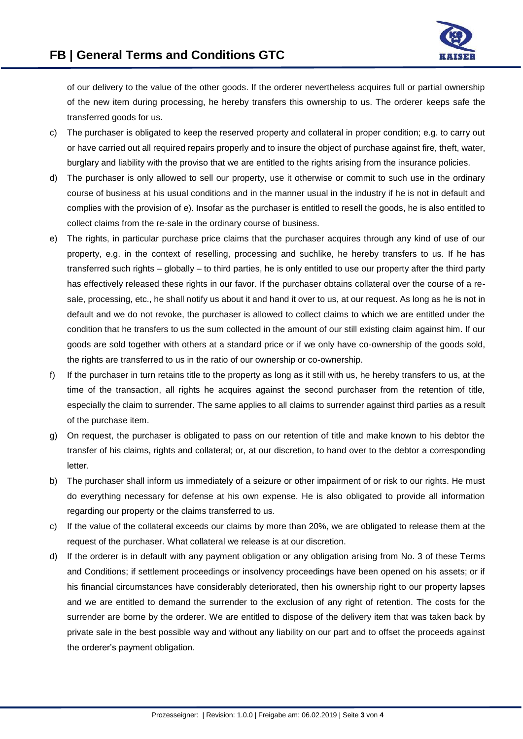

of our delivery to the value of the other goods. If the orderer nevertheless acquires full or partial ownership of the new item during processing, he hereby transfers this ownership to us. The orderer keeps safe the transferred goods for us.

- c) The purchaser is obligated to keep the reserved property and collateral in proper condition; e.g. to carry out or have carried out all required repairs properly and to insure the object of purchase against fire, theft, water, burglary and liability with the proviso that we are entitled to the rights arising from the insurance policies.
- d) The purchaser is only allowed to sell our property, use it otherwise or commit to such use in the ordinary course of business at his usual conditions and in the manner usual in the industry if he is not in default and complies with the provision of e). Insofar as the purchaser is entitled to resell the goods, he is also entitled to collect claims from the re-sale in the ordinary course of business.
- e) The rights, in particular purchase price claims that the purchaser acquires through any kind of use of our property, e.g. in the context of reselling, processing and suchlike, he hereby transfers to us. If he has transferred such rights – globally – to third parties, he is only entitled to use our property after the third party has effectively released these rights in our favor. If the purchaser obtains collateral over the course of a resale, processing, etc., he shall notify us about it and hand it over to us, at our request. As long as he is not in default and we do not revoke, the purchaser is allowed to collect claims to which we are entitled under the condition that he transfers to us the sum collected in the amount of our still existing claim against him. If our goods are sold together with others at a standard price or if we only have co-ownership of the goods sold, the rights are transferred to us in the ratio of our ownership or co-ownership.
- f) If the purchaser in turn retains title to the property as long as it still with us, he hereby transfers to us, at the time of the transaction, all rights he acquires against the second purchaser from the retention of title, especially the claim to surrender. The same applies to all claims to surrender against third parties as a result of the purchase item.
- g) On request, the purchaser is obligated to pass on our retention of title and make known to his debtor the transfer of his claims, rights and collateral; or, at our discretion, to hand over to the debtor a corresponding letter.
- b) The purchaser shall inform us immediately of a seizure or other impairment of or risk to our rights. He must do everything necessary for defense at his own expense. He is also obligated to provide all information regarding our property or the claims transferred to us.
- c) If the value of the collateral exceeds our claims by more than 20%, we are obligated to release them at the request of the purchaser. What collateral we release is at our discretion.
- d) If the orderer is in default with any payment obligation or any obligation arising from No. 3 of these Terms and Conditions; if settlement proceedings or insolvency proceedings have been opened on his assets; or if his financial circumstances have considerably deteriorated, then his ownership right to our property lapses and we are entitled to demand the surrender to the exclusion of any right of retention. The costs for the surrender are borne by the orderer. We are entitled to dispose of the delivery item that was taken back by private sale in the best possible way and without any liability on our part and to offset the proceeds against the orderer's payment obligation.